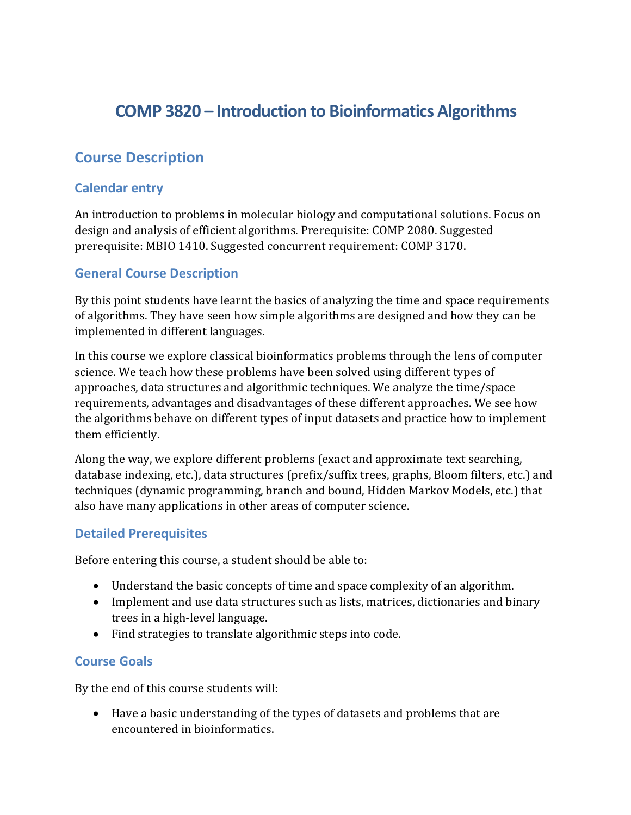# **COMP 3820 – Introduction to Bioinformatics Algorithms**

# **Course Description**

#### **Calendar entry**

An introduction to problems in molecular biology and computational solutions. Focus on design and analysis of efficient algorithms. Prerequisite: COMP 2080. Suggested prerequisite: MBIO 1410. Suggested concurrent requirement: COMP 3170.

### **General Course Description**

By this point students have learnt the basics of analyzing the time and space requirements of algorithms. They have seen how simple algorithms are designed and how they can be implemented in different languages.

In this course we explore classical bioinformatics problems through the lens of computer science. We teach how these problems have been solved using different types of approaches, data structures and algorithmic techniques. We analyze the time/space requirements, advantages and disadvantages of these different approaches. We see how the algorithms behave on different types of input datasets and practice how to implement them efficiently.

Along the way, we explore different problems (exact and approximate text searching, database indexing, etc.), data structures (prefix/suffix trees, graphs, Bloom filters, etc.) and techniques (dynamic programming, branch and bound, Hidden Markov Models, etc.) that also have many applications in other areas of computer science.

#### **Detailed Prerequisites**

Before entering this course, a student should be able to:

- Understand the basic concepts of time and space complexity of an algorithm.
- Implement and use data structures such as lists, matrices, dictionaries and binary trees in a high-level language.
- Find strategies to translate algorithmic steps into code.

## **Course Goals**

By the end of this course students will:

• Have a basic understanding of the types of datasets and problems that are encountered in bioinformatics.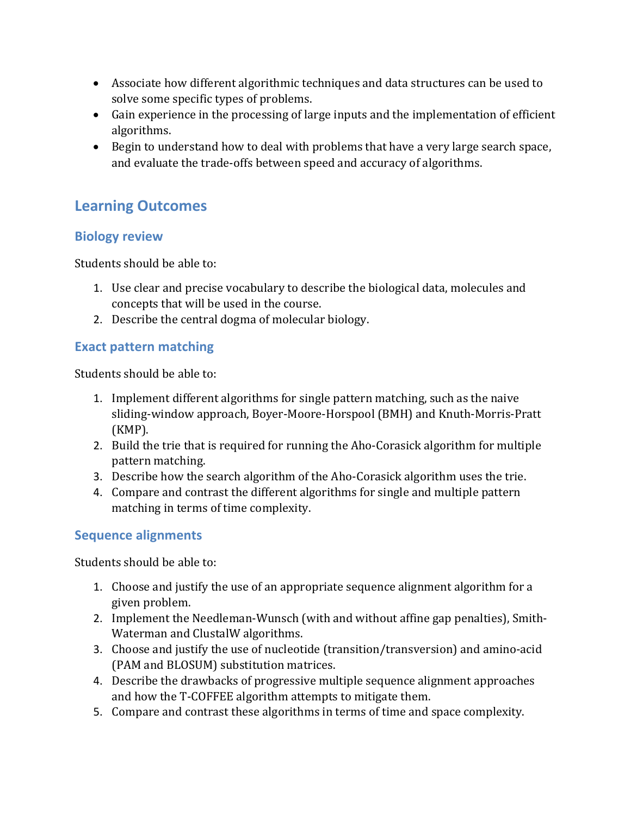- Associate how different algorithmic techniques and data structures can be used to solve some specific types of problems.
- Gain experience in the processing of large inputs and the implementation of efficient algorithms.
- Begin to understand how to deal with problems that have a very large search space, and evaluate the trade-offs between speed and accuracy of algorithms.

# **Learning Outcomes**

## **Biology review**

Students should be able to:

- 1. Use clear and precise vocabulary to describe the biological data, molecules and concepts that will be used in the course.
- 2. Describe the central dogma of molecular biology.

# **Exact pattern matching**

Students should be able to:

- 1. Implement different algorithms for single pattern matching, such as the naive sliding-window approach, Boyer-Moore-Horspool (BMH) and Knuth-Morris-Pratt (KMP).
- 2. Build the trie that is required for running the Aho-Corasick algorithm for multiple pattern matching.
- 3. Describe how the search algorithm of the Aho-Corasick algorithm uses the trie.
- 4. Compare and contrast the different algorithms for single and multiple pattern matching in terms of time complexity.

# **Sequence alignments**

Students should be able to:

- 1. Choose and justify the use of an appropriate sequence alignment algorithm for a given problem.
- 2. Implement the Needleman-Wunsch (with and without affine gap penalties), Smith-Waterman and ClustalW algorithms.
- 3. Choose and justify the use of nucleotide (transition/transversion) and amino-acid (PAM and BLOSUM) substitution matrices.
- 4. Describe the drawbacks of progressive multiple sequence alignment approaches and how the T-COFFEE algorithm attempts to mitigate them.
- 5. Compare and contrast these algorithms in terms of time and space complexity.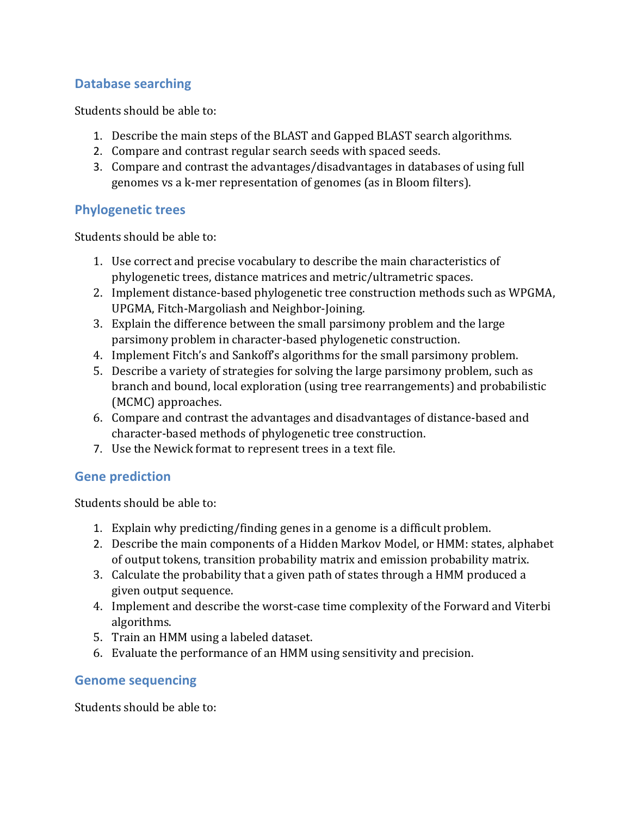# **Database searching**

Students should be able to:

- 1. Describe the main steps of the BLAST and Gapped BLAST search algorithms.
- 2. Compare and contrast regular search seeds with spaced seeds.
- 3. Compare and contrast the advantages/disadvantages in databases of using full genomes vs a k-mer representation of genomes (as in Bloom filters).

### **Phylogenetic trees**

Students should be able to:

- 1. Use correct and precise vocabulary to describe the main characteristics of phylogenetic trees, distance matrices and metric/ultrametric spaces.
- 2. Implement distance-based phylogenetic tree construction methods such as WPGMA, UPGMA, Fitch-Margoliash and Neighbor-Joining.
- 3. Explain the difference between the small parsimony problem and the large parsimony problem in character-based phylogenetic construction.
- 4. Implement Fitch's and Sankoff's algorithms for the small parsimony problem.
- 5. Describe a variety of strategies for solving the large parsimony problem, such as branch and bound, local exploration (using tree rearrangements) and probabilistic (MCMC) approaches.
- 6. Compare and contrast the advantages and disadvantages of distance-based and character-based methods of phylogenetic tree construction.
- 7. Use the Newick format to represent trees in a text file.

#### **Gene prediction**

Students should be able to:

- 1. Explain why predicting/finding genes in a genome is a difficult problem.
- 2. Describe the main components of a Hidden Markov Model, or HMM: states, alphabet of output tokens, transition probability matrix and emission probability matrix.
- 3. Calculate the probability that a given path of states through a HMM produced a given output sequence.
- 4. Implement and describe the worst-case time complexity of the Forward and Viterbi algorithms.
- 5. Train an HMM using a labeled dataset.
- 6. Evaluate the performance of an HMM using sensitivity and precision.

#### **Genome sequencing**

Students should be able to: